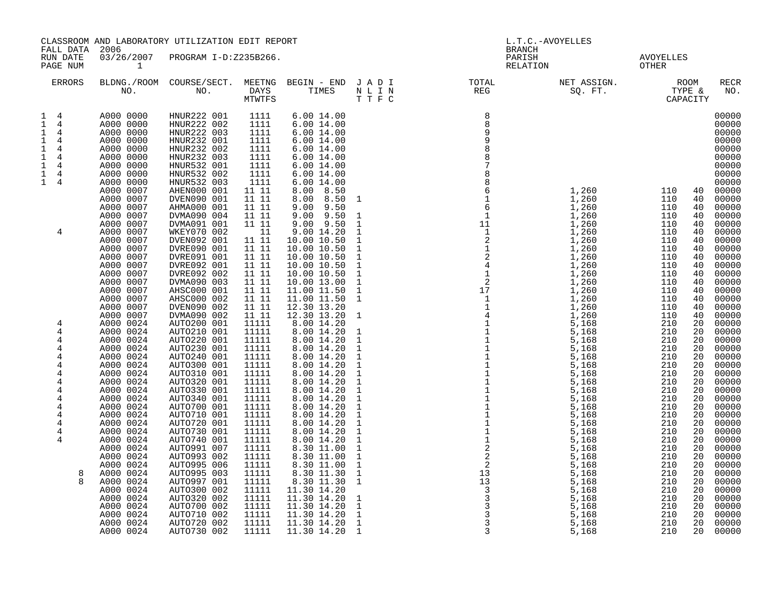| FALL DATA                                                                                                                                                                                                                                                                                                                   | 2006                                                                                                                                                                                                                                                                                                                                                                                                                                                                                                                                                                                                                                                                                | CLASSROOM AND LABORATORY UTILIZATION EDIT REPORT                                                                                                                                                                                                                                                                                                                                                                                                                                                                                                                                                                                                                                                                                                                                          |                                                                                                                                                                                                                                                                                                                                                                                                                                                               |                                                                                                                                                                                                                                                                                                                                                                                                                                                                                                                                                                                                                                                                                                                                                               |                                                                                                                                                                                                                                                                                                                                                                                                                                                                                                                                                                                        | <b>BRANCH</b>                                                                                                                                                                                                                                                                                                                                                                                              | L.T.C.-AVOYELLES                                                                                                                                                                                                                                                                                                                                                                                      |                                                                                                                                                                                                                                                                                                                                                                                                                                                                                                                                                                |                                                                                                                                                                                                                                                                                                                                                                                                                                                                         |
|-----------------------------------------------------------------------------------------------------------------------------------------------------------------------------------------------------------------------------------------------------------------------------------------------------------------------------|-------------------------------------------------------------------------------------------------------------------------------------------------------------------------------------------------------------------------------------------------------------------------------------------------------------------------------------------------------------------------------------------------------------------------------------------------------------------------------------------------------------------------------------------------------------------------------------------------------------------------------------------------------------------------------------|-------------------------------------------------------------------------------------------------------------------------------------------------------------------------------------------------------------------------------------------------------------------------------------------------------------------------------------------------------------------------------------------------------------------------------------------------------------------------------------------------------------------------------------------------------------------------------------------------------------------------------------------------------------------------------------------------------------------------------------------------------------------------------------------|---------------------------------------------------------------------------------------------------------------------------------------------------------------------------------------------------------------------------------------------------------------------------------------------------------------------------------------------------------------------------------------------------------------------------------------------------------------|---------------------------------------------------------------------------------------------------------------------------------------------------------------------------------------------------------------------------------------------------------------------------------------------------------------------------------------------------------------------------------------------------------------------------------------------------------------------------------------------------------------------------------------------------------------------------------------------------------------------------------------------------------------------------------------------------------------------------------------------------------------|----------------------------------------------------------------------------------------------------------------------------------------------------------------------------------------------------------------------------------------------------------------------------------------------------------------------------------------------------------------------------------------------------------------------------------------------------------------------------------------------------------------------------------------------------------------------------------------|------------------------------------------------------------------------------------------------------------------------------------------------------------------------------------------------------------------------------------------------------------------------------------------------------------------------------------------------------------------------------------------------------------|-------------------------------------------------------------------------------------------------------------------------------------------------------------------------------------------------------------------------------------------------------------------------------------------------------------------------------------------------------------------------------------------------------|----------------------------------------------------------------------------------------------------------------------------------------------------------------------------------------------------------------------------------------------------------------------------------------------------------------------------------------------------------------------------------------------------------------------------------------------------------------------------------------------------------------------------------------------------------------|-------------------------------------------------------------------------------------------------------------------------------------------------------------------------------------------------------------------------------------------------------------------------------------------------------------------------------------------------------------------------------------------------------------------------------------------------------------------------|
| RUN DATE<br>PAGE NUM                                                                                                                                                                                                                                                                                                        | 03/26/2007<br>$\mathbf{1}$                                                                                                                                                                                                                                                                                                                                                                                                                                                                                                                                                                                                                                                          | PROGRAM I-D:Z235B266.                                                                                                                                                                                                                                                                                                                                                                                                                                                                                                                                                                                                                                                                                                                                                                     |                                                                                                                                                                                                                                                                                                                                                                                                                                                               |                                                                                                                                                                                                                                                                                                                                                                                                                                                                                                                                                                                                                                                                                                                                                               |                                                                                                                                                                                                                                                                                                                                                                                                                                                                                                                                                                                        | PARISH<br>RELATION                                                                                                                                                                                                                                                                                                                                                                                         |                                                                                                                                                                                                                                                                                                                                                                                                       | AVOYELLES<br>OTHER                                                                                                                                                                                                                                                                                                                                                                                                                                                                                                                                             |                                                                                                                                                                                                                                                                                                                                                                                                                                                                         |
| <b>ERRORS</b>                                                                                                                                                                                                                                                                                                               |                                                                                                                                                                                                                                                                                                                                                                                                                                                                                                                                                                                                                                                                                     | BLDNG./ROOM COURSE/SECT. MEETNG BEGIN – END J A D I TOTAL TOTAL NO. NO. PREGENT STATES N L I N                                                                                                                                                                                                                                                                                                                                                                                                                                                                                                                                                                                                                                                                                            | MTWTFS                                                                                                                                                                                                                                                                                                                                                                                                                                                        |                                                                                                                                                                                                                                                                                                                                                                                                                                                                                                                                                                                                                                                                                                                                                               | TTFC                                                                                                                                                                                                                                                                                                                                                                                                                                                                                                                                                                                   |                                                                                                                                                                                                                                                                                                                                                                                                            | NET ASSIGN.<br>SQ. FT.                                                                                                                                                                                                                                                                                                                                                                                | ROOM<br>TYPE &<br>CAPACITY                                                                                                                                                                                                                                                                                                                                                                                                                                                                                                                                     | <b>RECR</b><br>NO.                                                                                                                                                                                                                                                                                                                                                                                                                                                      |
| $1 \quad 4$<br>$\mathbf{1}$<br>$\overline{4}$<br>$\mathbf 1$<br>$\overline{4}$<br>$\mathbf 1$<br>4<br>$\mathbf 1$<br>$\overline{4}$<br>$\mathbf 1$<br>4<br>$\mathbf 1$<br>4<br>$\mathbf 1$<br>4<br>$\mathbf{1}$<br>$\overline{4}$<br>4<br>4<br>4<br>4<br>4<br>4<br>4<br>4<br>4<br>4<br>4<br>4<br>4<br>4<br>4<br>4<br>8<br>8 | A000 0000<br>A000 0000<br>A000 0000<br>A000 0000<br>A000 0000<br>A000 0000<br>A000 0000<br>A000 0000<br>A000 0000<br>A000 0007<br>A000 0007<br>A000 0007<br>A000 0007<br>A000 0007<br>A000 0007<br>A000 0007<br>A000 0007<br>A000 0007<br>A000 0007<br>A000 0007<br>A000 0007<br>A000 0007<br>A000 0007<br>A000 0007<br>A000 0007<br>A000 0024<br>A000 0024<br>A000 0024<br>A000 0024<br>A000 0024<br>A000 0024<br>A000 0024<br>A000 0024<br>A000 0024<br>A000 0024<br>A000 0024<br>A000 0024<br>A000 0024<br>A000 0024<br>A000 0024<br>A000 0024<br>A000 0024<br>A000 0024<br>A000 0024<br>A000 0024<br>A000 0024<br>A000 0024<br>A000 0024<br>A000 0024<br>A000 0024<br>A000 0024 | HNUR222 001<br>HNUR222 002<br>HNUR222 003<br>HNUR232 001<br>HNUR232 002<br>HNUR232 003<br>HNUR532 001<br>HNUR532 002<br>HNUR532 003<br>AHEN000 001<br>DVEN090 001<br>AHMA000 001<br>DVMA090 004<br>DVMA091 001<br>WKEY070 002<br>DVEN092 001<br>DVRE090 001<br>DVRE091 001<br>DVRE092 001<br>DVRE092 002<br>DVMA090 003<br>AHSC000 001<br>AHSC000 002<br>DVEN090 002<br>DVMA090 002<br>AUTO200 001<br>AUTO210 001<br>AUTO220 001<br>AUTO230 001<br>AUTO240 001<br>AUTO300 001<br>AUTO310 001<br>AUTO320 001<br>AUTO330 001<br>AUTO340 001<br>AUTO700 001<br>AUTO710 001<br>AUTO720 001<br>AUTO730 001<br>AUTO740 001<br>AUTO991 007<br>AUTO993 002<br>AUTO995 006<br>AUTO995 003<br>AUTO997 001<br>AUTO300 002<br>AUTO320 002<br>AUTO700 002<br>AUTO710 002<br>AUTO720 002<br>AUTO730 002 | 1111<br>1111<br>1111<br>1111<br>1111<br>1111<br>1111<br>1111<br>1111<br>11 11<br>11 11<br>11 11<br>11 11<br>11 11<br>- 11<br>11 11<br>11 11<br>11 11<br>11 11<br>11 11<br>11 11<br>11 11<br>11 11<br>11 11<br>11 11<br>11111<br>11111<br>11111<br>11111<br>11111<br>11111<br>11111<br>11111<br>11111<br>11111<br>11111<br>11111<br>11111<br>11111<br>11111<br>11111<br>11111<br>11111<br>11111<br>11111<br>11111<br>11111<br>11111<br>11111<br>11111<br>11111 | 6.00 14.00<br>6.00 14.00<br>6.00 14.00<br>6.00 14.00<br>6.00 14.00<br>6.00 14.00<br>6.00 14.00<br>6.00 14.00<br>6.00 14.00<br>8.00 8.50<br>8.00 8.50<br>$9.00$ $9.50$<br>$9.00$ $9.50$<br>$9.00$ $9.50$<br>9.00 14.20<br>10.00 10.50<br>10.00 10.50<br>10.00 10.50<br>10.00 10.50<br>10.00 10.50<br>10.00 13.00<br>11.00 11.50<br>11.00 11.50<br>12.30 13.20<br>12.30 13.20<br>8.00 14.20<br>8.00 14.20<br>8.00 14.20<br>8.00 14.20<br>8.00 14.20<br>8.00 14.20<br>8.00 14.20<br>8.00 14.20<br>8.00 14.20<br>8.00 14.20<br>8.00 14.20<br>8.00 14.20<br>8.00 14.20<br>8.00 14.20<br>8.00 14.20<br>8.30 11.00<br>8.30 11.00<br>8.30 11.00<br>8.30 11.30<br>8.30 11.30<br>11.30 14.20<br>11.30 14.20<br>11.30 14.20<br>11.30 14.20<br>11.30 14.20<br>11.30 14.20 | 1<br>$\mathbf{1}$<br>$\mathbf{1}$<br>$\mathbf{1}$<br>$\mathbf{1}$<br>$\mathbf{1}$<br>$\mathbf{1}$<br>$\mathbf{1}$<br>$\mathbf{1}$<br>$\mathbf{1}$<br>$\mathbf{1}$<br>$\mathbf{1}$<br>$\mathbf{1}$<br>1<br>$\mathbf{1}$<br>$\mathbf{1}$<br>$\mathbf{1}$<br>$\mathbf{1}$<br>$\mathbf{1}$<br>$\mathbf{1}$<br>$\mathbf{1}$<br>$\mathbf{1}$<br>$\mathbf{1}$<br>$\mathbf{1}$<br>$\mathbf{1}$<br>$\mathbf{1}$<br>$\mathbf{1}$<br>$\mathbf{1}$<br>$\mathbf{1}$<br>$\mathbf{1}$<br>$\mathbf{1}$<br>$\mathbf{1}$<br>$\mathbf{1}$<br>$\mathbf{1}$<br>$\mathbf{1}$<br>$\mathbf{1}$<br>$\mathbf{1}$ | $\begin{array}{c} 8 \\ 8 \end{array}$<br>9<br>8<br>8<br>$\begin{array}{r} 7\,\,8\,\,8\,\,6\,\,6\,\,1\,\,6 \\ 6\,\,4\,\,1\,\,1 \\ 1\,\,1\,\,2 \\ 2\,\,4 \\ 1\,\,2 \\ 1\,\,1 \\ 1\,\,1 \\ 1\,\,1 \\ 1\,\,1 \\ 1\,\,1 \\ 1\,\,1 \\ 1\,\,1 \\ 1\,\,1 \\ 1\,\,1 \\ 1\,\,1 \\ 1\,\,1 \\ 1\,\,1 \\ 1\,\,1 \\ 1\,\,1 \\ 1\,\,1 \\ 1\,\,1 \\ 1\,\,1 \\ 1\,\,1 \\ 1\,\,1 \\ 1\,\,1 \\ 1\,\,1$<br>$\overline{3}$<br>3 | 1,260<br>$\overline{1}$ , 260<br>1,260<br>1,260<br>1,260<br>1,260<br>1,260<br>1,260<br>1,260<br>1,260<br>1,260<br>1,260<br>1,260<br>1,260<br>1,260<br>1,260<br>5,168<br>5,168<br>5,168<br>5,168<br>5,168<br>5,168<br>5,168<br>5,168<br>5,168<br>5,168<br>5,168<br>5,168<br>5,168<br>5,168<br>5,168<br>5,168<br>5,168<br>5,168<br>5,168<br>5,168<br>5,168<br>5,168<br>5,168<br>5,168<br>5,168<br>5,168 | 110<br>40<br>110<br>40<br>110<br>40<br>110<br>40<br>110<br>40<br>110<br>40<br>110<br>40<br>110<br>40<br>110<br>40<br>110<br>40<br>110<br>40<br>110<br>40<br>110<br>40<br>110<br>40<br>110<br>40<br>110<br>40<br>210<br>20<br>210<br>20<br>210<br>20<br>210<br>20<br>210<br>20<br>210<br>20<br>210<br>20<br>210<br>20<br>210<br>20<br>210<br>20<br>210<br>20<br>210<br>20<br>210<br>20<br>210<br>20<br>210<br>20<br>210<br>20<br>210<br>20<br>210<br>20<br>210<br>20<br>210<br>20<br>210<br>20<br>210<br>20<br>210<br>20<br>210<br>20<br>210<br>20<br>210<br>20 | 00000<br>00000<br>00000<br>00000<br>00000<br>00000<br>00000<br>00000<br>00000<br>00000<br>00000<br>00000<br>00000<br>00000<br>00000<br>00000<br>00000<br>00000<br>00000<br>00000<br>00000<br>00000<br>00000<br>00000<br>00000<br>00000<br>00000<br>00000<br>00000<br>00000<br>00000<br>00000<br>00000<br>00000<br>00000<br>00000<br>00000<br>00000<br>00000<br>00000<br>00000<br>00000<br>00000<br>00000<br>00000<br>00000<br>00000<br>00000<br>00000<br>00000<br>00000 |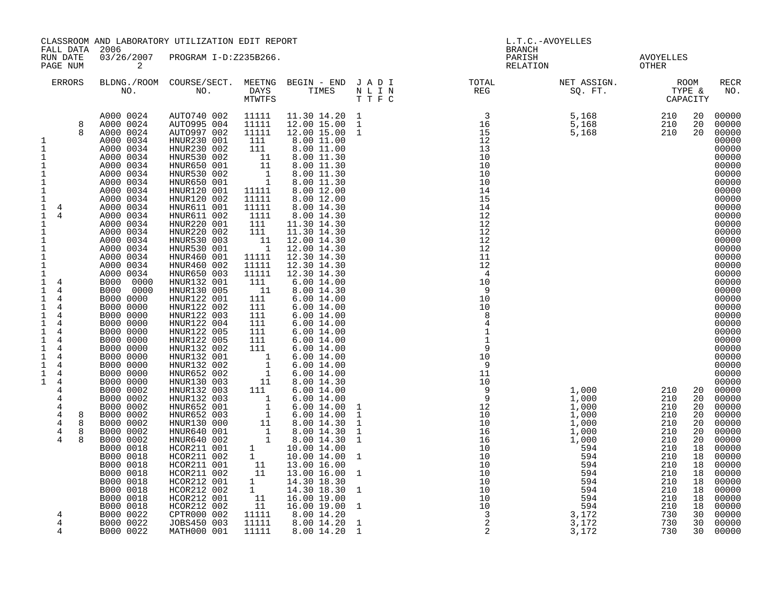| FALL DATA 2006                                                                                                                                                                                                                                                                                                                                                                                                                                                                                                                                                                                                                                                             |                                                                                                                                                                                                                                                                                                                                                                                                                                                                                                                                                                                                                                                           | CLASSROOM AND LABORATORY UTILIZATION EDIT REPORT                                                                                                                                                                                                                                                                                                                                                                                                                                                                                                                                                                                                                                                                                                                           |                                                                                                                                                                                                                                                                                                                                                                                                                  |                                                                                                                                                                                                                                                                                                                                                                                                                                                                                                                                                                                                                                                                                                                                                                                                                                        | <b>BRANCH</b>                                                                                                            | L.T.C.-AVOYELLES |                    |                                                                                                          |                                                                                                                                                                                                                                                                                                                                                                                                                                          |
|----------------------------------------------------------------------------------------------------------------------------------------------------------------------------------------------------------------------------------------------------------------------------------------------------------------------------------------------------------------------------------------------------------------------------------------------------------------------------------------------------------------------------------------------------------------------------------------------------------------------------------------------------------------------------|-----------------------------------------------------------------------------------------------------------------------------------------------------------------------------------------------------------------------------------------------------------------------------------------------------------------------------------------------------------------------------------------------------------------------------------------------------------------------------------------------------------------------------------------------------------------------------------------------------------------------------------------------------------|----------------------------------------------------------------------------------------------------------------------------------------------------------------------------------------------------------------------------------------------------------------------------------------------------------------------------------------------------------------------------------------------------------------------------------------------------------------------------------------------------------------------------------------------------------------------------------------------------------------------------------------------------------------------------------------------------------------------------------------------------------------------------|------------------------------------------------------------------------------------------------------------------------------------------------------------------------------------------------------------------------------------------------------------------------------------------------------------------------------------------------------------------------------------------------------------------|----------------------------------------------------------------------------------------------------------------------------------------------------------------------------------------------------------------------------------------------------------------------------------------------------------------------------------------------------------------------------------------------------------------------------------------------------------------------------------------------------------------------------------------------------------------------------------------------------------------------------------------------------------------------------------------------------------------------------------------------------------------------------------------------------------------------------------------|--------------------------------------------------------------------------------------------------------------------------|------------------|--------------------|----------------------------------------------------------------------------------------------------------|------------------------------------------------------------------------------------------------------------------------------------------------------------------------------------------------------------------------------------------------------------------------------------------------------------------------------------------------------------------------------------------------------------------------------------------|
| RUN DATE<br>PAGE NUM                                                                                                                                                                                                                                                                                                                                                                                                                                                                                                                                                                                                                                                       | 2                                                                                                                                                                                                                                                                                                                                                                                                                                                                                                                                                                                                                                                         | 03/26/2007 PROGRAM I-D:Z235B266.                                                                                                                                                                                                                                                                                                                                                                                                                                                                                                                                                                                                                                                                                                                                           |                                                                                                                                                                                                                                                                                                                                                                                                                  |                                                                                                                                                                                                                                                                                                                                                                                                                                                                                                                                                                                                                                                                                                                                                                                                                                        | PARISH<br>RELATION                                                                                                       |                  | AVOYELLES<br>OTHER |                                                                                                          |                                                                                                                                                                                                                                                                                                                                                                                                                                          |
| ERRORS                                                                                                                                                                                                                                                                                                                                                                                                                                                                                                                                                                                                                                                                     |                                                                                                                                                                                                                                                                                                                                                                                                                                                                                                                                                                                                                                                           |                                                                                                                                                                                                                                                                                                                                                                                                                                                                                                                                                                                                                                                                                                                                                                            |                                                                                                                                                                                                                                                                                                                                                                                                                  |                                                                                                                                                                                                                                                                                                                                                                                                                                                                                                                                                                                                                                                                                                                                                                                                                                        | BLDNG./ROOM COURSE/SECT. MEETNG BEGIN – END JADI TOTAL TOTAL NET ASSIGN. ROOM ROOM NO. DAYS TIMES NLIN REG SQ.FT. TYPE & |                  |                    |                                                                                                          | RECR<br>NO.                                                                                                                                                                                                                                                                                                                                                                                                                              |
| 8<br>8<br>1<br>$\mathbf{1}$<br>1<br>1<br>$\mathbf{1}$<br>1<br>1<br>$\mathbf 1$<br>$\mathbf{1}$<br>$\overline{4}$<br>$\mathbf{1}$<br>4<br>$\mathbf{1}$<br>1<br>$\mathbf 1$<br>$1\,$<br>$\mathbf 1$<br>1<br>$\mathbf{1}$<br>1 4<br>$\mathbf{1}$<br>$\overline{4}$<br>$\mathbf{1}$<br>- 4<br>$\mathbf 1$<br>$\overline{4}$<br>$\mathbf 1$<br>4<br>$\mathbf{1}$<br>4<br>$\mathbf 1$<br>$\overline{4}$<br>1<br>4<br>$\mathbf{1}$<br>4<br>$\mathbf 1$<br>$\overline{4}$<br>$\mathbf{1}$<br>4<br>$\mathbf{1}$<br>$\overline{4}$<br>$\mathbf{1}$<br>$\overline{4}$<br>4<br>4<br>4<br>$\overline{4}$<br>8<br>$\overline{4}$<br>8<br>$\overline{4}$<br>8<br>$\overline{4}$<br>8<br>4 | A000 0024<br>A000 0024<br>A000 0024<br>A000 0034<br>A000 0034<br>A000 0034<br>A000 0034<br>A000 0034<br>A000 0034<br>A000 0034<br>A000 0034<br>A000 0034<br>A000 0034<br>A000 0034<br>A000 0034<br>A000 0034<br>A000 0034<br>A000 0034<br>A000 0034<br>A000 0034<br>B000 0000<br>B000 0000<br>B000 0000<br>B000 0000<br>B000 0000<br>B000 0000<br>B000 0000<br>B000 0000<br>B000 0000<br>B000 0000<br>B000 0000<br>B000 0000<br>B000 0000<br>B000 0002<br>B000 0002<br>B000 0002<br>B000 0002<br>B000 0002<br>B000 0002<br>B000 0002<br>B000 0018<br>B000 0018<br>B000 0018<br>B000 0018<br>B000 0018<br>B000 0018<br>B000 0018<br>B000 0018<br>B000 0022 | AUTO740 002 11111<br>AUTO995 004<br>AUTO997 002<br>HNUR230 001<br>HNUR230 002<br>HNUR530 002<br>HNUR650 001<br>HNUR530 002<br>HNUR650 001<br>HNUR120 001<br>HNUR120 002<br>HNUR611 001<br>HNUR611 002<br>HNUR220 001<br>HNUR220 002<br>HNUR530 003<br>HNUR530 001<br>HNUR460 001<br>HNUR460 002<br>HNUR650 003<br>HNUR132 001<br>HNUR130 005<br>HNUR122 001<br>HNUR122 002<br>HNUR122 003<br>HNUR122 004<br>HNUR122 005<br>HNUR122 005<br>HNUR132 002<br>HNUR132 001<br>HNUR132 002<br>HNUR652 002<br>HNUR130 003<br>HNUR132 003<br>HNUR132 003<br>HNUR652 001<br>HNUR652 003<br>HNUR130 000<br>HNUR640 001<br>HNUR640 002<br>HCOR211 001 1<br>HCOR211 002 1<br>HCOR211 002 1<br>HCOR211 002 11<br>HCOR212 001<br>HCOR212 002<br>HCOR212 001<br>HCOR212 002<br>CPTR000 002 | 11111<br>11111<br>111<br>111<br>$\begin{bmatrix} 1 \\ 1 \\ 1 \\ 1 \\ 1 \\ 1 \end{bmatrix}$<br>11111<br>11111<br>11111<br>1111<br>111<br>111<br>$\begin{array}{c} 11 \\ 1 \end{array}$<br>11111<br>11111<br>11111<br>111<br>11<br>111<br>111<br>111<br>111<br>111<br>111<br>111<br>$\begin{array}{c} 1 \\ -1 \\ 1 \\ 1 \\ 11 \\ 111 \\ \end{array}$<br>1<br>1<br>$\begin{array}{c} 11 \\ 11 \end{array}$<br>11111 | 11.30 14.20 1<br>12.00 15.00 1<br>12.00 15.00 1<br>8.00 11.00<br>8.00 11.00<br>8.00 11.30<br>8.00 11.30<br>8.00 11.30<br>8.00 11.30<br>8.00 12.00<br>8.00 12.00<br>8.00 14.30<br>8.00 14.30<br>11.30 14.30<br>11.30 14.30<br>12.00 14.30<br>12.00 14.30<br>12.30 14.30<br>12.30 14.30<br>12.30 14.30<br>$6.00\;14.00$<br>8.00 14.30<br>6.00 14.00<br>6.00 14.00<br>6.00 14.00<br>6.0014.00<br>$6.00\;14.00$<br>6.00 14.00<br>6.00 14.00<br>$6.00\;14.00$<br>$6.00\;14.00$<br>$6.00\;14.00$<br>8.00 14.30<br>6.0014.00<br>$\begin{array}{rrrr} 111 & 0.00 & 14.00 \ 1 & 6.00 & 14.00 \ 1 & 6.00 & 14.00 \ 1 & 6.00 & 14.00 \ 11 & 8.00 & 14.30 \ 1 & 8.00 & 14.30 \ 1 & 8.00 & 14.30 \end{array}$<br>10.00 14.00<br>10.00 14.00<br>13.00 16.00<br>13.00 16.00<br>14.30 18.30<br>14.30 18.30<br>16.00 19.00<br>16.00 19.00<br>8.00 14.20 |                                                                                                                          |                  |                    | 20<br>20<br>20<br>20<br>20<br>20<br>20<br>20<br>20<br>18<br>18<br>18<br>18<br>18<br>18<br>18<br>18<br>30 | 00000<br>00000<br>00000<br>00000<br>00000<br>00000<br>00000<br>00000<br>00000<br>00000<br>00000<br>00000<br>00000<br>00000<br>00000<br>00000<br>00000<br>00000<br>00000<br>00000<br>00000<br>00000<br>00000<br>00000<br>00000<br>00000<br>00000<br>00000<br>00000<br>00000<br>00000<br>00000<br>00000<br>20 00000<br>00000<br>00000<br>00000<br>00000<br>00000<br>00000<br>00000<br>00000<br>00000<br>00000<br>$00000$<br>00000<br>00000 |
| 4<br>4                                                                                                                                                                                                                                                                                                                                                                                                                                                                                                                                                                                                                                                                     | B000 0022<br>B000 0022                                                                                                                                                                                                                                                                                                                                                                                                                                                                                                                                                                                                                                    | JOBS450 003<br>MATH000 001                                                                                                                                                                                                                                                                                                                                                                                                                                                                                                                                                                                                                                                                                                                                                 | 11111<br>11111                                                                                                                                                                                                                                                                                                                                                                                                   | 8.00 14.20<br>8.00 14.20                                                                                                                                                                                                                                                                                                                                                                                                                                                                                                                                                                                                                                                                                                                                                                                                               |                                                                                                                          |                  |                    | 30<br>30                                                                                                 | 00000<br>00000                                                                                                                                                                                                                                                                                                                                                                                                                           |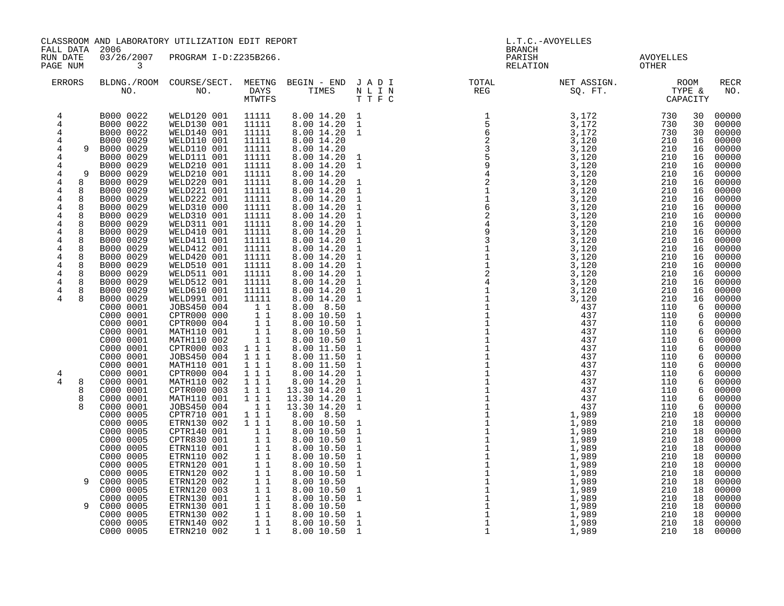| CLASSROOM AND LABORATORY UTILIZATION EDIT REPORT<br>FALL DATA<br>2006                                                                                                                                                                 |                                                                                                                                                                                                                                                                                                                                                                                                                                                                                                                                                     |                                                                                                                                                                                                                                                                                                                                                                                                                                                                                                                                                                                                                                           |                                                                                                                                                                                                                                                                                                                                                                                                                            |                                                                                                                                                                                                                                                                                                                                                                                                                                                                                                                                                                                             |                                                                                                                                                                                                                                                                                                                                                                                                                                                                                                                                                  | <b>BRANCH</b>                                                                                                                                                                                                                                                                                                                                                                                                             | L.T.C.-AVOYELLES                                                                                                                     |                                                                                                                            |                                                                                                                                                                                                                                                     |                                                                                                                                                                                                                                                                                                                                                                                         |
|---------------------------------------------------------------------------------------------------------------------------------------------------------------------------------------------------------------------------------------|-----------------------------------------------------------------------------------------------------------------------------------------------------------------------------------------------------------------------------------------------------------------------------------------------------------------------------------------------------------------------------------------------------------------------------------------------------------------------------------------------------------------------------------------------------|-------------------------------------------------------------------------------------------------------------------------------------------------------------------------------------------------------------------------------------------------------------------------------------------------------------------------------------------------------------------------------------------------------------------------------------------------------------------------------------------------------------------------------------------------------------------------------------------------------------------------------------------|----------------------------------------------------------------------------------------------------------------------------------------------------------------------------------------------------------------------------------------------------------------------------------------------------------------------------------------------------------------------------------------------------------------------------|---------------------------------------------------------------------------------------------------------------------------------------------------------------------------------------------------------------------------------------------------------------------------------------------------------------------------------------------------------------------------------------------------------------------------------------------------------------------------------------------------------------------------------------------------------------------------------------------|--------------------------------------------------------------------------------------------------------------------------------------------------------------------------------------------------------------------------------------------------------------------------------------------------------------------------------------------------------------------------------------------------------------------------------------------------------------------------------------------------------------------------------------------------|---------------------------------------------------------------------------------------------------------------------------------------------------------------------------------------------------------------------------------------------------------------------------------------------------------------------------------------------------------------------------------------------------------------------------|--------------------------------------------------------------------------------------------------------------------------------------|----------------------------------------------------------------------------------------------------------------------------|-----------------------------------------------------------------------------------------------------------------------------------------------------------------------------------------------------------------------------------------------------|-----------------------------------------------------------------------------------------------------------------------------------------------------------------------------------------------------------------------------------------------------------------------------------------------------------------------------------------------------------------------------------------|
| RUN DATE<br>PAGE NUM                                                                                                                                                                                                                  | 03/26/2007<br>$\overline{\phantom{a}}$ 3                                                                                                                                                                                                                                                                                                                                                                                                                                                                                                            | PROGRAM I-D:Z235B266.                                                                                                                                                                                                                                                                                                                                                                                                                                                                                                                                                                                                                     |                                                                                                                                                                                                                                                                                                                                                                                                                            |                                                                                                                                                                                                                                                                                                                                                                                                                                                                                                                                                                                             |                                                                                                                                                                                                                                                                                                                                                                                                                                                                                                                                                  | PARISH<br>RELATION                                                                                                                                                                                                                                                                                                                                                                                                        |                                                                                                                                      | AVOYELLES<br>OTHER                                                                                                         |                                                                                                                                                                                                                                                     |                                                                                                                                                                                                                                                                                                                                                                                         |
| <b>ERRORS</b>                                                                                                                                                                                                                         |                                                                                                                                                                                                                                                                                                                                                                                                                                                                                                                                                     |                                                                                                                                                                                                                                                                                                                                                                                                                                                                                                                                                                                                                                           | MTWTFS                                                                                                                                                                                                                                                                                                                                                                                                                     |                                                                                                                                                                                                                                                                                                                                                                                                                                                                                                                                                                                             | BLDNG./ROOM COURSE/SECT. MEETNG BEGIN – END J A D I TOTAL TOTAL NO. NO. DAYS TIMES N L I N REG<br>TTFC                                                                                                                                                                                                                                                                                                                                                                                                                                           |                                                                                                                                                                                                                                                                                                                                                                                                                           | NET ASSIGN.<br>SQ. FT.                                                                                                               | ROOM<br>TYPE &<br>CAPACITY                                                                                                 |                                                                                                                                                                                                                                                     | RECR<br>NO.                                                                                                                                                                                                                                                                                                                                                                             |
| 4<br>4<br>4<br>4<br>4<br>4<br>4<br>4<br>9<br>4<br>8<br>4<br>8<br>8<br>4<br>4<br>8<br>4<br>8<br>$\overline{4}$<br>8<br>4<br>8<br>4<br>8<br>4<br>8<br>4<br>8<br>4<br>8<br>4<br>8<br>4<br>8<br>4<br>8<br>8<br>4<br>4<br>4<br>8<br>8<br>8 | B000 0022<br>B000 0022<br>B000 0022<br>B000 0029<br>9 B000 0029<br>B000 0029<br>B000 0029<br>B000 0029<br>B000 0029<br>B000 0029<br>B000 0029<br>B000 0029<br>B000 0029<br>B000 0029<br>B000 0029<br>B000 0029<br>B000 0029<br>B000 0029<br>B000 0029<br>B000 0029<br>B000 0029<br>B000 0029<br>B000 0029<br>C000 0001<br>C000 0001<br>C000 0001<br>C000 0001<br>C000 0001<br>C000 0001<br>C000 0001<br>C000 0001<br>C000 0001<br>C000 0001<br>C000 0001<br>C000 0001<br>C000 0001<br>C000 0005<br>C000 0005<br>C000 0005<br>C000 0005<br>C000 0005 | WELD120 001 11111<br>WELD130 001<br>WELD140 001<br>WELD110 001<br>WELD110 001<br>WELD111 001<br>WELD210 001<br>WELD210 001<br>WELD220 001<br>WELD221 001<br>WELD222 001<br>WELD310 000<br>WELD310 001<br>WELD311 001<br>WELD410 001<br>WELD411 001<br>WELD412 001<br>WELD420 001<br>WELD510 001<br>WELD511 001<br>WELD512 001<br>WELD610 001<br>WELD991 001<br>JOBS450 004<br>CPTR000 000<br>CPTR000 004<br>MATH110 001<br>MATH110 002<br>CPTR000 003<br>JOBS450 004<br>MATH110 001<br>CPTR000 004<br>MATH110 002<br>CPTR000 003<br>MATH110 001<br>JOBS450 004<br>CPTR710 001<br>ETRN130 002<br>CPTR140 001<br>CPTR830 001<br>ETRN110 001 | 11111<br>11111<br>11111<br>11111<br>11111<br>11111<br>11111<br>11111<br>11111<br>11111<br>11111<br>11111<br>11111<br>11111<br>11111<br>11111<br>11111<br>11111<br>11111<br>11111<br>11111<br>11111<br>11<br>11<br>$\begin{array}{rr} & 1 & 1 \\ & 1 & 1 \end{array}$<br>11<br>1 1 1<br>1 1 1<br>111<br>111<br>111<br>1 1 1<br>111<br>11<br>1 1 1<br>111<br>$1\quad1$<br>$\begin{array}{rr} & 1 & 1 \\ & 1 & 1 \end{array}$ | 8.00 14.20<br>8.00 14.20<br>8.00 14.20<br>8.00 14.20<br>8.00 14.20<br>8.00 14.20<br>8.00 14.20<br>8.00 14.20<br>8.00 14.20<br>8.00 14.20<br>8.00 14.20<br>8.00 14.20<br>8.00 14.20<br>8.00 14.20<br>8.00 14.20<br>8.00 14.20<br>8.00 14.20<br>8.00 14.20<br>8.00 14.20<br>8.00 14.20<br>8.00 14.20<br>8.00 14.20<br>8.00 14.20<br>8.00 8.50<br>8.00 10.50<br>8.00 10.50<br>8.00 10.50<br>8.00 10.50<br>8.00 11.50<br>8.00 11.50<br>8.00 11.50<br>8.00 14.20<br>8.00 14.20<br>13.30 14.20<br>13.30 14.20<br>13.30 14.20<br>8.00 8.50<br>8.00 10.50<br>8.00 10.50<br>8.00 10.50<br>8.00 10.50 | $\mathbf{1}$<br>$\mathbf{1}$<br>$\mathbf{1}$<br>$\mathbf{1}$<br>$\mathbf{1}$<br>1<br>1<br>$\mathbf{1}$<br>$\mathbf{1}$<br>$\mathbf{1}$<br>$\mathbf{1}$<br>$\mathbf{1}$<br>$\mathbf{1}$<br>$\mathbf{1}$<br>$\mathbf{1}$<br>$\mathbf{1}$<br>$\mathbf{1}$<br>$\mathbf{1}$<br>$\mathbf{1}$<br>$\mathbf{1}$<br>1<br>$\mathbf{1}$<br>$\mathbf{1}$<br>$\mathbf{1}$<br>$\mathbf{1}$<br>$\mathbf{1}$<br>$\mathbf{1}$<br>$\mathbf{1}$<br>$\mathbf{1}$<br>$\mathbf{1}$<br>$\mathbf{1}$<br>$\mathbf{1}$<br>1<br>$\mathbf{1}$<br>$\mathbf{1}$<br>$\mathbf{1}$ | $\begin{array}{cccc} & & & & & & & \text{CAPP} & & & \\ 1 & 3\,,172 & 730 & & & & & \\ 5 & 3\,,172 & 730 & & & & & \\ 2 & 3\,,122 & 730 & & & & & \\ 3\,,120 & 210 & 210 & & & \\ 3\,,120 & 210 & 210 & & & \\ 4 & 3\,,120 & 210 & 210 & & \\ 2 & 3\,,120 & 210 & 210 & & \\ 3\,,120 & 210 & 210 & & & \\ 3\,,120 & 210 & 210 & & & \\ 4 &$<br>$\mathbf{1}$<br>$\mathbf{1}$<br>$\begin{array}{c} 1 \\ 1 \\ 1 \end{array}$ | 437<br>437<br>437<br>437<br>437<br>437<br>437<br>437<br>437<br>437<br>437<br>437<br>437<br>1,989<br>1,989<br>1,989<br>1,989<br>1,989 | 110<br>110<br>110<br>110<br>110<br>110<br>110<br>110<br>110<br>110<br>110<br>110<br>110<br>210<br>210<br>210<br>210<br>210 | 30<br>30<br>30<br>16<br>16<br>16<br>16<br>16<br>16<br>16<br>16<br>16<br>16<br>16<br>16<br>16<br>16<br>16<br>16<br>16<br>16<br>16<br>16<br>6<br>$6\overline{6}$<br>6<br>6<br>6<br>6<br>6<br>6<br>6<br>6<br>6<br>6<br>6<br>18<br>18<br>18<br>18<br>18 | 00000<br>00000<br>00000<br>00000<br>00000<br>$00000$<br>00000<br>00000<br>00000<br>00000<br>00000<br>00000<br>00000<br>$00000$<br>00000<br>00000<br>00000<br>00000<br>00000<br>00000<br>00000<br>00000<br>00000<br>00000<br>00000<br>00000<br>$00000$<br>00000<br>00000<br>00000<br>00000<br>00000<br>00000<br>00000<br>00000<br>00000<br>00000<br>00000<br>00000<br>$00000$<br>$00000$ |
| 9                                                                                                                                                                                                                                     | C000 0005<br>C000 0005<br>C000 0005<br>C000 0005<br>C000 0005<br>C000 0005<br>C000 0005<br>C000 0005<br>C000 0005<br>C000 0005                                                                                                                                                                                                                                                                                                                                                                                                                      | ETRN110 002<br>ETRN120 001<br>ETRN120 002<br>ETRN120 002<br>ETRN120 003<br>ETRN130 001<br>ETRN130 001<br>ETRN130 002<br>ETRN140 002<br>ETRN210 002                                                                                                                                                                                                                                                                                                                                                                                                                                                                                        | 11<br>11<br>$1\quad1$<br>$1\quad1$<br>1 1<br>11<br>11<br>1 1<br>11<br>11                                                                                                                                                                                                                                                                                                                                                   | 8.00 10.50<br>8.00 10.50<br>8.00 10.50<br>8.00 10.50<br>8.00 10.50<br>8.00 10.50<br>8.00 10.50<br>8.00 10.50<br>8.00 10.50<br>8.00 10.50                                                                                                                                                                                                                                                                                                                                                                                                                                                    | $\mathbf{1}$<br>$\mathbf{1}$<br>$\mathbf{1}$<br>$\mathbf{1}$<br>$\mathbf{1}$<br>$\mathbf 1$<br>$\mathbf{1}$<br>$\overline{1}$                                                                                                                                                                                                                                                                                                                                                                                                                    |                                                                                                                                                                                                                                                                                                                                                                                                                           | 1,989<br>1,989<br>1,989<br>1,989<br>1,989<br>1,989<br>1,989<br>1,989<br>1,989<br>1,989                                               | 210<br>210<br>210<br>$\frac{39}{989}$<br>$\frac{21}{210}$<br>$\frac{210}{210}$                                             | 18<br>18<br>18<br>18<br>18<br>18<br>18<br>18                                                                                                                                                                                                        | 00000<br>00000<br>00000<br>00000<br>18 00000<br>00000<br>00000<br>18 00000                                                                                                                                                                                                                                                                                                              |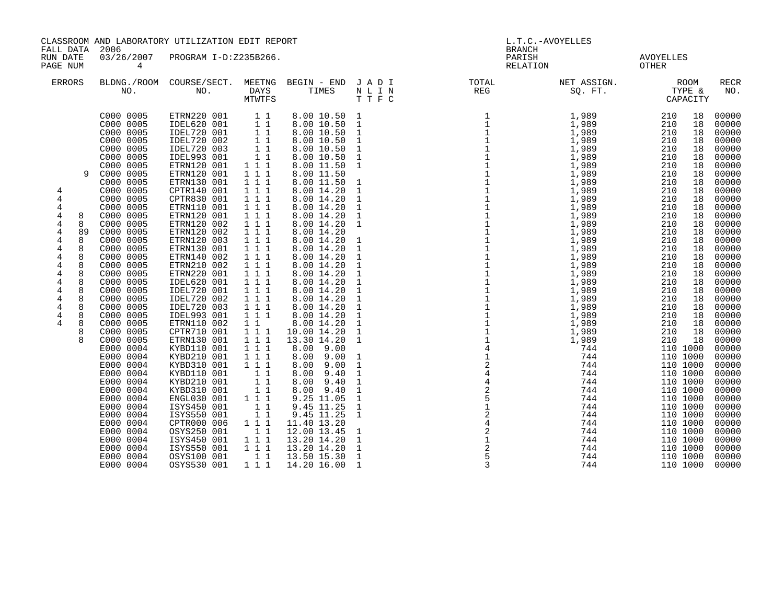| CLASSROOM AND LABORATORY UTILIZATION EDIT REPORT                                                                                                                                                     |                                                                                                                                                                                                                                                                                                                                                                                                                                                                                                                                                                             |                                                                                                                                                                                                                                                                                                                                                                                                                                                                                                                                                                                                                                                                   |                                                                                                                                                                                                                                                                                                                                                               | L.T.C.-AVOYELLES                                                                                                                                                                                                                                                                                                                                                                                                                                                                                                                                                                                                                             |                                                                                                                                                                                                                                                                                                                                                                                       |                                     |                        |                                                                                                                                                                                                                                                                                                                                                                                                                                                                                                                                                              |                                                                                                                                                                                                                                                                                                                                                                                                 |
|------------------------------------------------------------------------------------------------------------------------------------------------------------------------------------------------------|-----------------------------------------------------------------------------------------------------------------------------------------------------------------------------------------------------------------------------------------------------------------------------------------------------------------------------------------------------------------------------------------------------------------------------------------------------------------------------------------------------------------------------------------------------------------------------|-------------------------------------------------------------------------------------------------------------------------------------------------------------------------------------------------------------------------------------------------------------------------------------------------------------------------------------------------------------------------------------------------------------------------------------------------------------------------------------------------------------------------------------------------------------------------------------------------------------------------------------------------------------------|---------------------------------------------------------------------------------------------------------------------------------------------------------------------------------------------------------------------------------------------------------------------------------------------------------------------------------------------------------------|----------------------------------------------------------------------------------------------------------------------------------------------------------------------------------------------------------------------------------------------------------------------------------------------------------------------------------------------------------------------------------------------------------------------------------------------------------------------------------------------------------------------------------------------------------------------------------------------------------------------------------------------|---------------------------------------------------------------------------------------------------------------------------------------------------------------------------------------------------------------------------------------------------------------------------------------------------------------------------------------------------------------------------------------|-------------------------------------|------------------------|--------------------------------------------------------------------------------------------------------------------------------------------------------------------------------------------------------------------------------------------------------------------------------------------------------------------------------------------------------------------------------------------------------------------------------------------------------------------------------------------------------------------------------------------------------------|-------------------------------------------------------------------------------------------------------------------------------------------------------------------------------------------------------------------------------------------------------------------------------------------------------------------------------------------------------------------------------------------------|
| FALL DATA<br>RUN DATE<br>PAGE NUM                                                                                                                                                                    | 2006<br>03/26/2007<br>4                                                                                                                                                                                                                                                                                                                                                                                                                                                                                                                                                     | PROGRAM I-D:Z235B266.                                                                                                                                                                                                                                                                                                                                                                                                                                                                                                                                                                                                                                             |                                                                                                                                                                                                                                                                                                                                                               |                                                                                                                                                                                                                                                                                                                                                                                                                                                                                                                                                                                                                                              |                                                                                                                                                                                                                                                                                                                                                                                       | <b>BRANCH</b><br>PARISH<br>RELATION |                        | AVOYELLES<br>OTHER                                                                                                                                                                                                                                                                                                                                                                                                                                                                                                                                           |                                                                                                                                                                                                                                                                                                                                                                                                 |
| ERRORS                                                                                                                                                                                               | NO.                                                                                                                                                                                                                                                                                                                                                                                                                                                                                                                                                                         | BLDNG./ROOM COURSE/SECT.<br>NO.                                                                                                                                                                                                                                                                                                                                                                                                                                                                                                                                                                                                                                   | <b>MTWTFS</b>                                                                                                                                                                                                                                                                                                                                                 |                                                                                                                                                                                                                                                                                                                                                                                                                                                                                                                                                                                                                                              | MEETNG BEGIN – END J A D I UTOTAL PAYS TIMES N L I N<br>DAYS TIMES N L I N REG<br>TTFC                                                                                                                                                                                                                                                                                                |                                     | NET ASSIGN.<br>SQ. FT. | ROOM<br>TYPE &<br>CAPACITY                                                                                                                                                                                                                                                                                                                                                                                                                                                                                                                                   | <b>RECR</b><br>NO.                                                                                                                                                                                                                                                                                                                                                                              |
| 4<br>4<br>4<br>4<br>8<br>4<br>8<br>4<br>89<br>4<br>8<br>4<br>8<br>8<br>4<br>$\overline{4}$<br>8<br>4<br>8<br>8<br>4<br>4<br>8<br>4<br>8<br>$\overline{4}$<br>8<br>4<br>8<br>$\overline{4}$<br>8<br>8 | C000 0005<br>C000 0005<br>C000 0005<br>C000 0005<br>C000 0005<br>C000 0005<br>C000 0005<br>C000 0005<br>C000 0005<br>C000 0005<br>C000 0005<br>C000 0005<br>C000 0005<br>C000 0005<br>C000 0005<br>C000 0005<br>C000 0005<br>C000 0005<br>C000 0005<br>C000 0005<br>C000 0005<br>C000 0005<br>C000 0005<br>C000 0005<br>C000 0005<br>C000 0005<br>C000 0005<br>C000 0005<br>E000 0004<br>E000 0004<br>E000 0004<br>E000 0004<br>E000 0004<br>E000 0004<br>E000 0004<br>E000 0004<br>E000 0004<br>E000 0004<br>E000 0004<br>E000 0004<br>E000 0004<br>E000 0004<br>E000 0004 | ETRN220 001<br>IDEL620 001<br>IDEL720 001<br>IDEL720 002<br>IDEL720 003<br>IDEL993 001<br>ETRN120 001<br>ETRN120 001<br>ETRN130 001<br>CPTR140 001<br>CPTR830 001<br>ETRN110 001<br>ETRN120 001<br>ETRN120 002<br>ETRN120 002<br>ETRN120 003<br>ETRN130 001<br>ETRN140 002<br>ETRN210 002<br>ETRN220 001<br>IDEL620 001<br>IDEL720 001<br>IDEL720 002<br>IDEL720 003<br>IDEL993 001<br>ETRN110 002<br>CPTR710 001<br>ETRN130 001<br>KYBD110 001<br>KYBD210 001<br>KYBD310 001<br>KYBD110 001<br>KYBD210 001<br>KYBD310 001<br>ENGL030 001<br>ISYS450 001<br>ISYS550 001<br>CPTR000 006<br>OSYS250 001<br>ISYS450 001<br>ISYS550 001<br>OSYS100 001<br>OSYS530 001 | $1\quad1$<br>11<br>11<br>$1\quad1$<br>11<br>$1\quad1$<br>111<br>111<br>1 1 1<br>111<br>111<br>1 1 1<br>1 1 1<br>111<br>111<br>1 1 1<br>1 1 1<br>111<br>1 1 1<br>111<br>1 1 1<br>111<br>111<br>1 1 1<br>111<br>$1\quad1$<br>111<br>1 1 1<br>1 1 1<br>111<br>111<br>11<br>$1\quad1$<br>11<br>111<br>11<br>11<br>1 1 1<br>11<br>111<br>111<br>$1\quad1$<br>1 1 1 | 8.00 10.50 1<br>8.00 10.50<br>8.00 10.50<br>8.00 10.50<br>8.00 10.50<br>8.00 10.50<br>8.00 11.50<br>8.00 11.50<br>8.00 11.50<br>8.00 14.20<br>8.00 14.20<br>8.00 14.20<br>8.00 14.20<br>8.00 14.20<br>8.00 14.20<br>8.00 14.20<br>8.00 14.20<br>8.00 14.20<br>8.00 14.20<br>8.00 14.20<br>8.00 14.20<br>8.00 14.20<br>8.00 14.20<br>8.00 14.20<br>8.00 14.20<br>8.00 14.20<br>10.00 14.20<br>13.30 14.20<br>8.00<br>9.00<br>8.00<br>9.00<br>8.00<br>9.00<br>8.00<br>9.40<br>8.00<br>9.40<br>9.40<br>8.00<br>9.25 11.05<br>9.45 11.25<br>9.45 11.25<br>11.40 13.20<br>12.00 13.45<br>13.20 14.20<br>13.20 14.20<br>13.50 15.30<br>14.20 16.00 | $\mathbf{1}$<br>$\mathbf{1}$<br>$\mathbf{1}$<br>$\mathbf{1}$<br>1<br>$\mathbf{1}$<br>1<br>1<br>$\mathbf{1}$<br>$\mathbf{1}$<br>1<br>1<br>1<br>$\mathbf{1}$<br>1<br>$\mathbf{1}$<br>1<br>1<br>1<br>$\mathbf{1}$<br>$\mathbf{1}$<br>1<br>1<br>1<br>1<br>1<br>$\mathbf{1}$<br>1<br>1<br>$\mathbf{1}$<br>1<br>$\mathbf{1}$<br>1<br>1<br>$\mathbf{1}$<br>$\mathbf{1}$<br>1<br>$\mathbf{1}$ | 3                                   | 744<br>744             | 210<br>18<br>210<br>18<br>210<br>18<br>210<br>18<br>210<br>18<br>210<br>18<br>210<br>18<br>210<br>18<br>210<br>18<br>210<br>18<br>210<br>18<br>210<br>18<br>210<br>18<br>210<br>18<br>210<br>18<br>210<br>18<br>210<br>18<br>210<br>18<br>210<br>18<br>210<br>18<br>210<br>18<br>210<br>18<br>210<br>18<br>210<br>18<br>210<br>18<br>210<br>18<br>210<br>18<br>210<br>18<br>110 1000<br>110 1000<br>110 1000<br>110 1000<br>110 1000<br>110 1000<br>110 1000<br>110 1000<br>110 1000<br>110 1000<br>110 1000<br>110 1000<br>110 1000<br>110 1000<br>110 1000 | 00000<br>00000<br>00000<br>00000<br>00000<br>00000<br>00000<br>00000<br>00000<br>00000<br>00000<br>00000<br>00000<br>00000<br>00000<br>00000<br>00000<br>00000<br>00000<br>00000<br>00000<br>00000<br>00000<br>00000<br>00000<br>00000<br>00000<br>00000<br>00000<br>00000<br>00000<br>00000<br>00000<br>00000<br>00000<br>00000<br>00000<br>00000<br>00000<br>00000<br>00000<br>00000<br>00000 |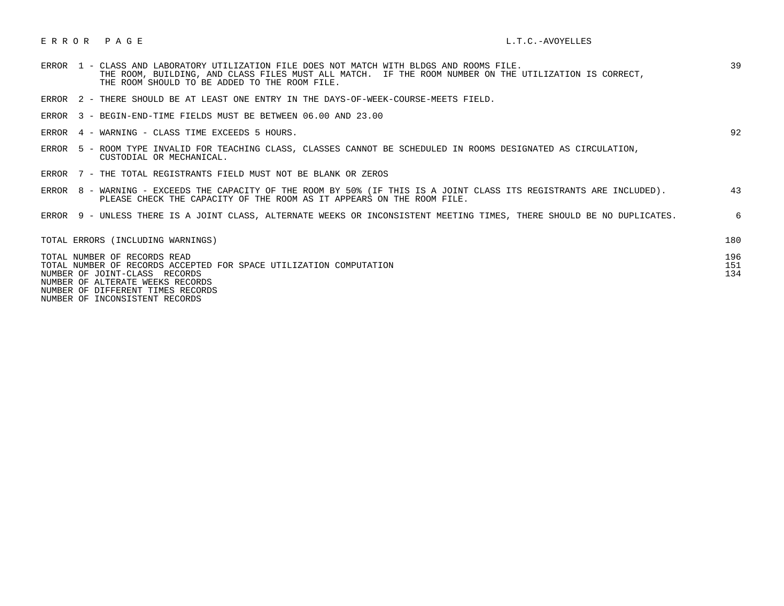## E R R O R P A G E L.T.C.-AVOYELLES

| 1 - CLASS AND LABORATORY UTILIZATION FILE DOES NOT MATCH WITH BLDGS AND ROOMS FILE.<br>ERROR<br>THE ROOM, BUILDING, AND CLASS FILES MUST ALL MATCH. IF THE ROOM NUMBER ON THE UTILIZATION IS CORRECT,<br>THE ROOM SHOULD TO BE ADDED TO THE ROOM FILE. | 39                |
|--------------------------------------------------------------------------------------------------------------------------------------------------------------------------------------------------------------------------------------------------------|-------------------|
| ERROR 2 - THERE SHOULD BE AT LEAST ONE ENTRY IN THE DAYS-OF-WEEK-COURSE-MEETS FIELD.                                                                                                                                                                   |                   |
| ERROR 3 - BEGIN-END-TIME FIELDS MUST BE BETWEEN 06.00 AND 23.00                                                                                                                                                                                        |                   |
| ERROR 4 - WARNING - CLASS TIME EXCEEDS 5 HOURS.                                                                                                                                                                                                        | 92                |
| 5 - ROOM TYPE INVALID FOR TEACHING CLASS, CLASSES CANNOT BE SCHEDULED IN ROOMS DESIGNATED AS CIRCULATION,<br>ERROR<br>CUSTODIAL OR MECHANICAL.                                                                                                         |                   |
| ERROR 7 - THE TOTAL REGISTRANTS FIELD MUST NOT BE BLANK OR ZEROS                                                                                                                                                                                       |                   |
| ERROR 8 - WARNING - EXCEEDS THE CAPACITY OF THE ROOM BY 50% (IF THIS IS A JOINT CLASS ITS REGISTRANTS ARE INCLUDED).<br>PLEASE CHECK THE CAPACITY OF THE ROOM AS IT APPEARS ON THE ROOM FILE.                                                          | 43                |
| ERROR 9 - UNLESS THERE IS A JOINT CLASS, ALTERNATE WEEKS OR INCONSISTENT MEETING TIMES, THERE SHOULD BE NO DUPLICATES.                                                                                                                                 | 6                 |
| TOTAL ERRORS (INCLUDING WARNINGS)                                                                                                                                                                                                                      | 180               |
| TOTAL NUMBER OF RECORDS READ<br>TOTAL NUMBER OF RECORDS ACCEPTED FOR SPACE UTILIZATION COMPUTATION<br>NUMBER OF JOINT-CLASS RECORDS<br>NUMBER OF ALTERATE WEEKS RECORDS<br>NUMBER OF DIFFERENT TIMES RECORDS<br>NUMBER OF INCONSISTENT RECORDS         | 196<br>151<br>134 |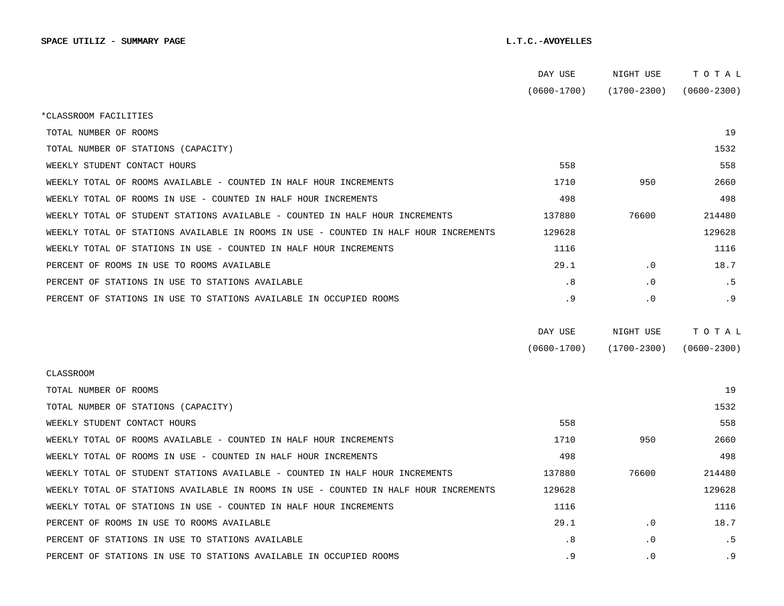|                                                                                      | DAY USE         | NIGHT USE       | TOTAL           |
|--------------------------------------------------------------------------------------|-----------------|-----------------|-----------------|
|                                                                                      | $(0600 - 1700)$ | $(1700 - 2300)$ | $(0600 - 2300)$ |
| *CLASSROOM FACILITIES                                                                |                 |                 |                 |
| TOTAL NUMBER OF ROOMS                                                                |                 |                 | 19              |
| TOTAL NUMBER OF STATIONS (CAPACITY)                                                  |                 |                 | 1532            |
| WEEKLY STUDENT CONTACT HOURS                                                         | 558             |                 | 558             |
| WEEKLY TOTAL OF ROOMS AVAILABLE - COUNTED IN HALF HOUR INCREMENTS                    | 1710            | 950             | 2660            |
| WEEKLY TOTAL OF ROOMS IN USE - COUNTED IN HALF HOUR INCREMENTS                       | 498             |                 | 498             |
| WEEKLY TOTAL OF STUDENT STATIONS AVAILABLE - COUNTED IN HALF HOUR INCREMENTS         | 137880          | 76600           | 214480          |
| WEEKLY TOTAL OF STATIONS AVAILABLE IN ROOMS IN USE - COUNTED IN HALF HOUR INCREMENTS | 129628          |                 | 129628          |
| WEEKLY TOTAL OF STATIONS IN USE - COUNTED IN HALF HOUR INCREMENTS                    | 1116            |                 | 1116            |
| PERCENT OF ROOMS IN USE TO ROOMS AVAILABLE                                           | 29.1            | $\cdot$ 0       | 18.7            |
| PERCENT OF STATIONS IN USE TO STATIONS AVAILABLE                                     | . 8             | . 0             | . 5             |
| PERCENT OF STATIONS IN USE TO STATIONS AVAILABLE IN OCCUPIED ROOMS                   | . 9             | $\cdot$ 0       | . 9             |
|                                                                                      |                 |                 |                 |
|                                                                                      | DAY USE         | NIGHT USE       | TOTAL           |
|                                                                                      | $(0600 - 1700)$ | $(1700 - 2300)$ | $(0600 - 2300)$ |
| <b>CLASSROOM</b>                                                                     |                 |                 |                 |
| TOTAL NUMBER OF ROOMS                                                                |                 |                 | 19              |
| TOTAL NUMBER OF STATIONS (CAPACITY)                                                  |                 |                 | 1532            |
| WEEKLY STUDENT CONTACT HOURS                                                         | 558             |                 | 558             |
| WEEKLY TOTAL OF ROOMS AVAILABLE - COUNTED IN HALF HOUR INCREMENTS                    | 1710            | 950             | 2660            |
| WEEKLY TOTAL OF ROOMS IN USE - COUNTED IN HALF HOUR INCREMENTS                       | 498             |                 | 498             |
| WEEKLY TOTAL OF STUDENT STATIONS AVAILABLE - COUNTED IN HALF HOUR INCREMENTS         | 137880          | 76600           | 214480          |
|                                                                                      |                 |                 |                 |
| WEEKLY TOTAL OF STATIONS AVAILABLE IN ROOMS IN USE - COUNTED IN HALF HOUR INCREMENTS | 129628          |                 | 129628          |
| WEEKLY TOTAL OF STATIONS IN USE - COUNTED IN HALF HOUR INCREMENTS                    | 1116            |                 | 1116            |
| PERCENT OF ROOMS IN USE TO ROOMS AVAILABLE                                           | 29.1            | $\cdot$ 0       | 18.7            |
| PERCENT OF STATIONS IN USE TO STATIONS AVAILABLE                                     | .8              | $\cdot$ 0       | . 5             |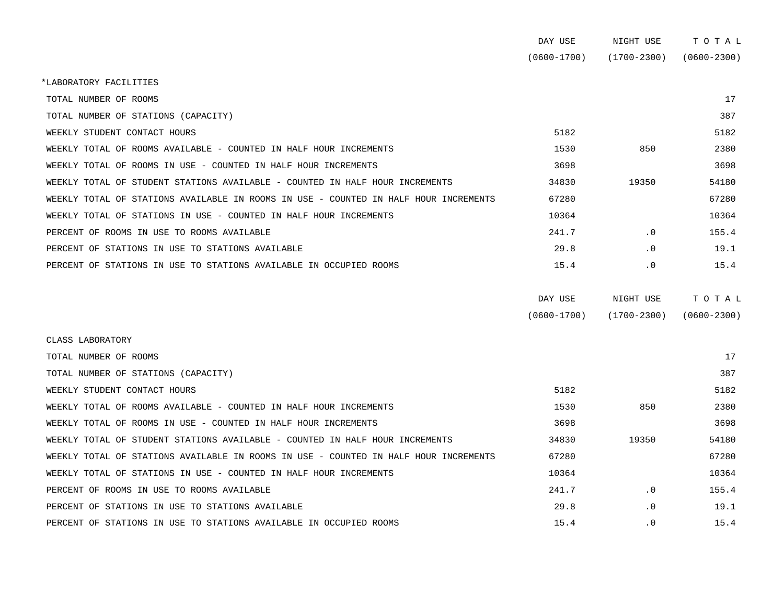|                                                                                      | DAY USE         | NIGHT USE       | TOTAL           |
|--------------------------------------------------------------------------------------|-----------------|-----------------|-----------------|
|                                                                                      | $(0600 - 1700)$ | $(1700 - 2300)$ | $(0600 - 2300)$ |
| *LABORATORY FACILITIES                                                               |                 |                 |                 |
| TOTAL NUMBER OF ROOMS                                                                |                 |                 | 17              |
| TOTAL NUMBER OF STATIONS (CAPACITY)                                                  |                 |                 | 387             |
| WEEKLY STUDENT CONTACT HOURS                                                         | 5182            |                 | 5182            |
| WEEKLY TOTAL OF ROOMS AVAILABLE - COUNTED IN HALF HOUR INCREMENTS                    | 1530            | 850             | 2380            |
| WEEKLY TOTAL OF ROOMS IN USE - COUNTED IN HALF HOUR INCREMENTS                       | 3698            |                 | 3698            |
| WEEKLY TOTAL OF STUDENT STATIONS AVAILABLE - COUNTED IN HALF HOUR INCREMENTS         | 34830           | 19350           | 54180           |
| WEEKLY TOTAL OF STATIONS AVAILABLE IN ROOMS IN USE - COUNTED IN HALF HOUR INCREMENTS | 67280           |                 | 67280           |
| WEEKLY TOTAL OF STATIONS IN USE - COUNTED IN HALF HOUR INCREMENTS                    | 10364           |                 | 10364           |
| PERCENT OF ROOMS IN USE TO ROOMS AVAILABLE                                           | 241.7           | .0              | 155.4           |
| PERCENT OF STATIONS IN USE TO STATIONS AVAILABLE                                     | 29.8            | $\cdot$ 0       | 19.1            |
| PERCENT OF STATIONS IN USE TO STATIONS AVAILABLE IN OCCUPIED ROOMS                   | 15.4            | $\cdot$ 0       | 15.4            |
|                                                                                      |                 |                 |                 |
|                                                                                      | DAY USE         | NIGHT USE       | TOTAL           |

| $(0600 - 1700)$ | $(1700 - 2300)$ | $(0600 - 2300)$ |
|-----------------|-----------------|-----------------|

| CLASS LABORATORY                                                                     |       |           |       |  |
|--------------------------------------------------------------------------------------|-------|-----------|-------|--|
| TOTAL NUMBER OF ROOMS                                                                |       |           | 17    |  |
| TOTAL NUMBER OF STATIONS (CAPACITY)                                                  |       |           | 387   |  |
| WEEKLY STUDENT CONTACT HOURS                                                         | 5182  |           | 5182  |  |
| WEEKLY TOTAL OF ROOMS AVAILABLE - COUNTED IN HALF HOUR INCREMENTS                    | 1530  | 850       | 2380  |  |
| WEEKLY TOTAL OF ROOMS IN USE - COUNTED IN HALF HOUR INCREMENTS                       | 3698  |           | 3698  |  |
| WEEKLY TOTAL OF STUDENT STATIONS AVAILABLE - COUNTED IN HALF HOUR INCREMENTS         | 34830 | 19350     | 54180 |  |
| WEEKLY TOTAL OF STATIONS AVAILABLE IN ROOMS IN USE - COUNTED IN HALF HOUR INCREMENTS | 67280 |           | 67280 |  |
| WEEKLY TOTAL OF STATIONS IN USE - COUNTED IN HALF HOUR INCREMENTS                    | 10364 |           | 10364 |  |
| PERCENT OF ROOMS IN USE TO ROOMS AVAILABLE                                           | 241.7 | $\cdot$ 0 | 155.4 |  |
| PERCENT OF STATIONS IN USE TO STATIONS AVAILABLE                                     | 29.8  | $\cdot$ 0 | 19.1  |  |
| PERCENT OF STATIONS IN USE TO STATIONS AVAILABLE IN OCCUPIED ROOMS                   | 15.4  | $\cdot$ 0 | 15.4  |  |
|                                                                                      |       |           |       |  |